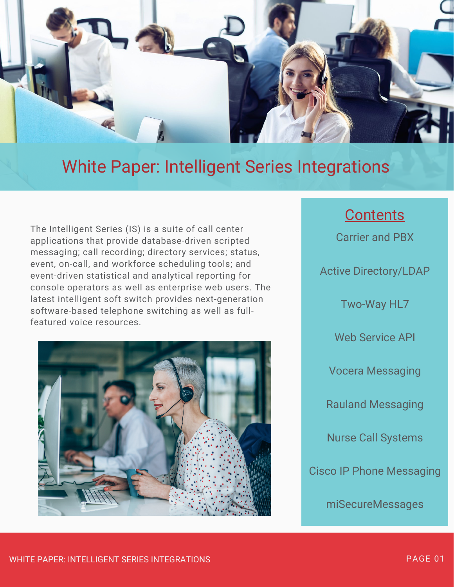

# White Paper: Intelligent Series Integrations

The Intelligent Series (IS) is a suite of call center applications that provide database-driven scripted messaging; call recording; directory services; status, event, on-call, and workforce scheduling tools; and event-driven statistical and analytical reporting for console operators as well as enterprise web users. The latest intelligent soft switch provides next-generation software-based telephone switching as well as fullfeatured voice resources.



# **Contents**

Carrier and PBX

Active Directory/LDAP

Two-Way HL7

Web Service API

Vocera Messaging

Rauland Messaging

Nurse Call Systems

Cisco IP Phone Messaging

miSecureMessages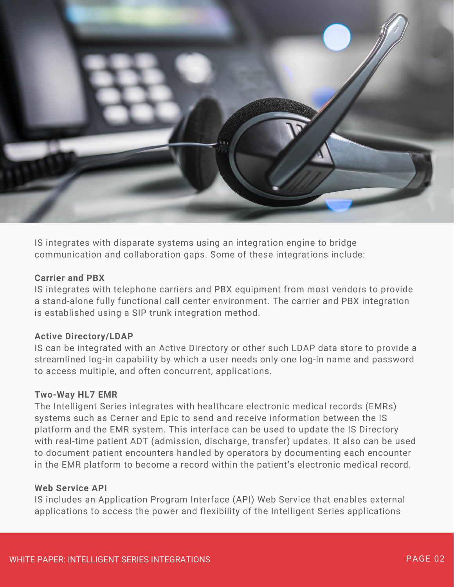

IS integrates with disparate systems using an integration engine to bridge communication and collaboration gaps. Some of these integrations include:

### **Carrier and PBX**

IS integrates with telephone carriers and PBX equipment from most vendors to provide a stand-alone fully functional call center environment. The carrier and PBX integration is established using a SIP trunk integration method.

#### **Active Directory/LDAP**

IS can be integrated with an Active Directory or other such LDAP data store to provide a streamlined log-in capability by which a user needs only one log-in name and password to access multiple, and often concurrent, applications.

#### **Two-Way HL7 EMR**

The Intelligent Series integrates with healthcare electronic medical records (EMRs) systems such as Cerner and Epic to send and receive information between the IS platform and the EMR system. This interface can be used to update the IS Directory with real-time patient ADT (admission, discharge, transfer) updates. It also can be used to document patient encounters handled by operators by documenting each encounter in the EMR platform to become a record within the patient's electronic medical record.

### **Web Service API**

IS includes an Application Program Interface (API) Web Service that enables external applications to access the power and flexibility of the Intelligent Series applications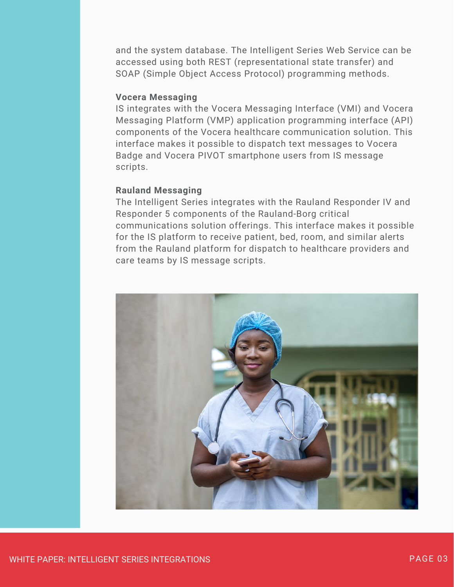and the system database. The Intelligent Series Web Service can be accessed using both REST (representational state transfer) and SOAP (Simple Object Access Protocol) programming methods.

# **Vocera Messaging**

IS integrates with the Vocera Messaging Interface (VMI) and Vocera Messaging Platform (VMP) application programming interface (API) components of the Vocera healthcare communication solution. This interface makes it possible to dispatch text messages to Vocera Badge and Vocera PIVOT smartphone users from IS message scripts.

### **Rauland Messaging**

The Intelligent Series integrates with the Rauland Responder IV and Responder 5 components of the Rauland-Borg critical communications solution offerings. This interface makes it possible for the IS platform to receive patient, bed, room, and similar alerts from the Rauland platform for dispatch to healthcare providers and care teams by IS message scripts.